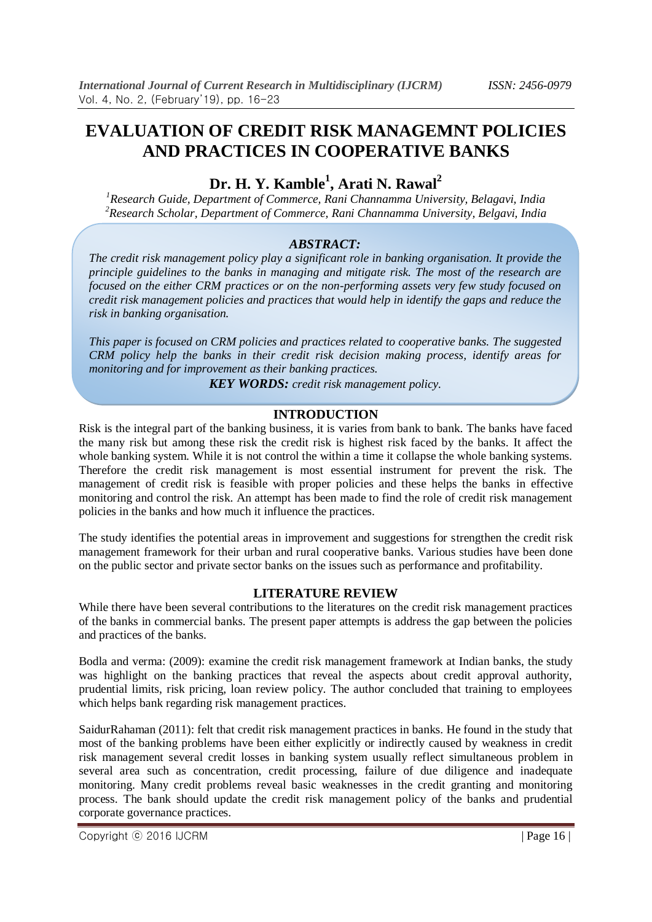# **Dr. H. Y. Kamble<sup>1</sup> , Arati N. Rawal<sup>2</sup>**

*<sup>1</sup>Research Guide, Department of Commerce, Rani Channamma University, Belagavi, India <sup>2</sup>Research Scholar, Department of Commerce, Rani Channamma University, Belgavi, India*

#### *ABSTRACT:*

*The credit risk management policy play a significant role in banking organisation. It provide the principle guidelines to the banks in managing and mitigate risk. The most of the research are focused on the either CRM practices or on the non-performing assets very few study focused on credit risk management policies and practices that would help in identify the gaps and reduce the risk in banking organisation.*

*This paper is focused on CRM policies and practices related to cooperative banks. The suggested CRM policy help the banks in their credit risk decision making process, identify areas for monitoring and for improvement as their banking practices.*

*KEY WORDS: credit risk management policy.*

#### **INTRODUCTION**

Risk is the integral part of the banking business, it is varies from bank to bank. The banks have faced the many risk but among these risk the credit risk is highest risk faced by the banks. It affect the whole banking system. While it is not control the within a time it collapse the whole banking systems. Therefore the credit risk management is most essential instrument for prevent the risk. The management of credit risk is feasible with proper policies and these helps the banks in effective monitoring and control the risk. An attempt has been made to find the role of credit risk management policies in the banks and how much it influence the practices.

The study identifies the potential areas in improvement and suggestions for strengthen the credit risk management framework for their urban and rural cooperative banks. Various studies have been done on the public sector and private sector banks on the issues such as performance and profitability.

#### **LITERATURE REVIEW**

While there have been several contributions to the literatures on the credit risk management practices of the banks in commercial banks. The present paper attempts is address the gap between the policies and practices of the banks.

Bodla and verma: (2009): examine the credit risk management framework at Indian banks, the study was highlight on the banking practices that reveal the aspects about credit approval authority, prudential limits, risk pricing, loan review policy. The author concluded that training to employees which helps bank regarding risk management practices.

SaidurRahaman (2011): felt that credit risk management practices in banks. He found in the study that most of the banking problems have been either explicitly or indirectly caused by weakness in credit risk management several credit losses in banking system usually reflect simultaneous problem in several area such as concentration, credit processing, failure of due diligence and inadequate monitoring. Many credit problems reveal basic weaknesses in the credit granting and monitoring process. The bank should update the credit risk management policy of the banks and prudential corporate governance practices.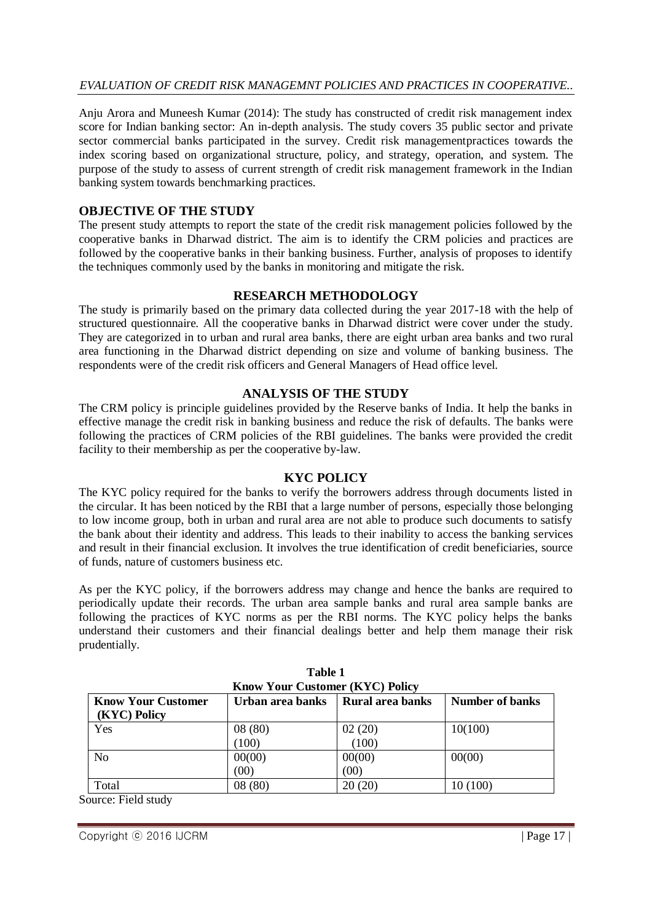#### *EVALUATION OF CREDIT RISK MANAGEMNT POLICIES AND PRACTICES IN COOPERATIVE..*

Anju Arora and Muneesh Kumar (2014): The study has constructed of credit risk management index score for Indian banking sector: An in-depth analysis. The study covers 35 public sector and private sector commercial banks participated in the survey. Credit risk managementpractices towards the index scoring based on organizational structure, policy, and strategy, operation, and system. The purpose of the study to assess of current strength of credit risk management framework in the Indian banking system towards benchmarking practices.

## **OBJECTIVE OF THE STUDY**

The present study attempts to report the state of the credit risk management policies followed by the cooperative banks in Dharwad district. The aim is to identify the CRM policies and practices are followed by the cooperative banks in their banking business. Further, analysis of proposes to identify the techniques commonly used by the banks in monitoring and mitigate the risk.

#### **RESEARCH METHODOLOGY**

The study is primarily based on the primary data collected during the year 2017-18 with the help of structured questionnaire. All the cooperative banks in Dharwad district were cover under the study. They are categorized in to urban and rural area banks, there are eight urban area banks and two rural area functioning in the Dharwad district depending on size and volume of banking business. The respondents were of the credit risk officers and General Managers of Head office level.

#### **ANALYSIS OF THE STUDY**

The CRM policy is principle guidelines provided by the Reserve banks of India. It help the banks in effective manage the credit risk in banking business and reduce the risk of defaults. The banks were following the practices of CRM policies of the RBI guidelines. The banks were provided the credit facility to their membership as per the cooperative by-law.

#### **KYC POLICY**

The KYC policy required for the banks to verify the borrowers address through documents listed in the circular. It has been noticed by the RBI that a large number of persons, especially those belonging to low income group, both in urban and rural area are not able to produce such documents to satisfy the bank about their identity and address. This leads to their inability to access the banking services and result in their financial exclusion. It involves the true identification of credit beneficiaries, source of funds, nature of customers business etc.

As per the KYC policy, if the borrowers address may change and hence the banks are required to periodically update their records. The urban area sample banks and rural area sample banks are following the practices of KYC norms as per the RBI norms. The KYC policy helps the banks understand their customers and their financial dealings better and help them manage their risk prudentially.

| <b>Know Your Customer (KYC) Policy</b>                                                             |        |        |          |  |  |  |  |  |
|----------------------------------------------------------------------------------------------------|--------|--------|----------|--|--|--|--|--|
| <b>Know Your Customer</b><br>Urban area banks<br><b>Rural area banks</b><br><b>Number of banks</b> |        |        |          |  |  |  |  |  |
| (KYC) Policy                                                                                       |        |        |          |  |  |  |  |  |
| Yes                                                                                                | 08(80) | 02(20) | 10(100)  |  |  |  |  |  |
|                                                                                                    | (100)  | (100)  |          |  |  |  |  |  |
| N <sub>o</sub>                                                                                     | 00(00) | 00(00) | 00(00)   |  |  |  |  |  |
|                                                                                                    | (00)   | (00)   |          |  |  |  |  |  |
| Total                                                                                              | 08(80) | 20(20) | 10 (100) |  |  |  |  |  |

| Table 1                                |
|----------------------------------------|
| <b>Know Your Customer (KYC) Policy</b> |

Source: Field study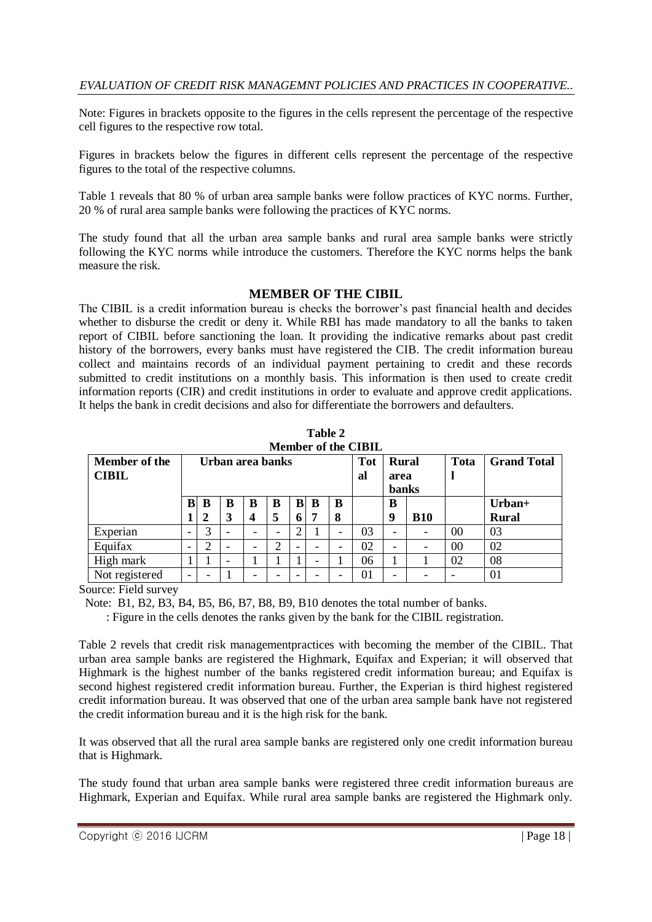Note: Figures in brackets opposite to the figures in the cells represent the percentage of the respective cell figures to the respective row total.

Figures in brackets below the figures in different cells represent the percentage of the respective figures to the total of the respective columns.

Table 1 reveals that 80 % of urban area sample banks were follow practices of KYC norms. Further, 20 % of rural area sample banks were following the practices of KYC norms.

The study found that all the urban area sample banks and rural area sample banks were strictly following the KYC norms while introduce the customers. Therefore the KYC norms helps the bank measure the risk.

#### **MEMBER OF THE CIBIL**

The CIBIL is a credit information bureau is checks the borrower's past financial health and decides whether to disburse the credit or deny it. While RBI has made mandatory to all the banks to taken report of CIBIL before sanctioning the loan. It providing the indicative remarks about past credit history of the borrowers, every banks must have registered the CIB. The credit information bureau collect and maintains records of an individual payment pertaining to credit and these records submitted to credit institutions on a monthly basis. This information is then used to create credit information reports (CIR) and credit institutions in order to evaluate and approve credit applications. It helps the bank in credit decisions and also for differentiate the borrowers and defaulters.

| <b>Member of the CIBIL</b> |   |                  |   |                          |   |   |   |            |              |                          |            |                    |              |
|----------------------------|---|------------------|---|--------------------------|---|---|---|------------|--------------|--------------------------|------------|--------------------|--------------|
| <b>Member of the</b>       |   | Urban area banks |   |                          |   |   |   | <b>Tot</b> | <b>Rural</b> |                          | Tota       | <b>Grand Total</b> |              |
| <b>CIBIL</b>               |   |                  |   |                          |   |   |   |            | al           | area                     |            |                    |              |
|                            |   |                  |   |                          |   |   |   |            |              | <b>banks</b>             |            |                    |              |
|                            | B | B                | B | B                        | B | B | B | B          |              | в                        |            |                    | Urban+       |
|                            |   |                  | 3 | 4                        | 5 | 6 |   | 8          |              | 9                        | <b>B10</b> |                    | <b>Rural</b> |
| Experian                   | - | 3                |   | $\overline{\phantom{a}}$ | - | 2 |   | -          | 03           | $\overline{\phantom{0}}$ |            | 0 <sup>0</sup>     | 03           |
| Equifax                    | - | ⌒                |   | $\overline{\phantom{0}}$ | 2 |   |   |            | 02           | $\overline{\phantom{0}}$ |            | 00                 | 02           |
| High mark                  |   |                  |   |                          |   |   | - |            | 06           |                          |            | 02                 | 08           |
| Not registered             | - |                  |   | $\overline{\phantom{a}}$ |   |   |   |            | 01           | $\overline{\phantom{a}}$ |            |                    | 01           |

**Table 2**

Source: Field survey

Note: B1, B2, B3, B4, B5, B6, B7, B8, B9, B10 denotes the total number of banks.

: Figure in the cells denotes the ranks given by the bank for the CIBIL registration.

Table 2 revels that credit risk managementpractices with becoming the member of the CIBIL. That urban area sample banks are registered the Highmark, Equifax and Experian; it will observed that Highmark is the highest number of the banks registered credit information bureau; and Equifax is second highest registered credit information bureau. Further, the Experian is third highest registered credit information bureau. It was observed that one of the urban area sample bank have not registered the credit information bureau and it is the high risk for the bank.

It was observed that all the rural area sample banks are registered only one credit information bureau that is Highmark.

The study found that urban area sample banks were registered three credit information bureaus are Highmark, Experian and Equifax. While rural area sample banks are registered the Highmark only.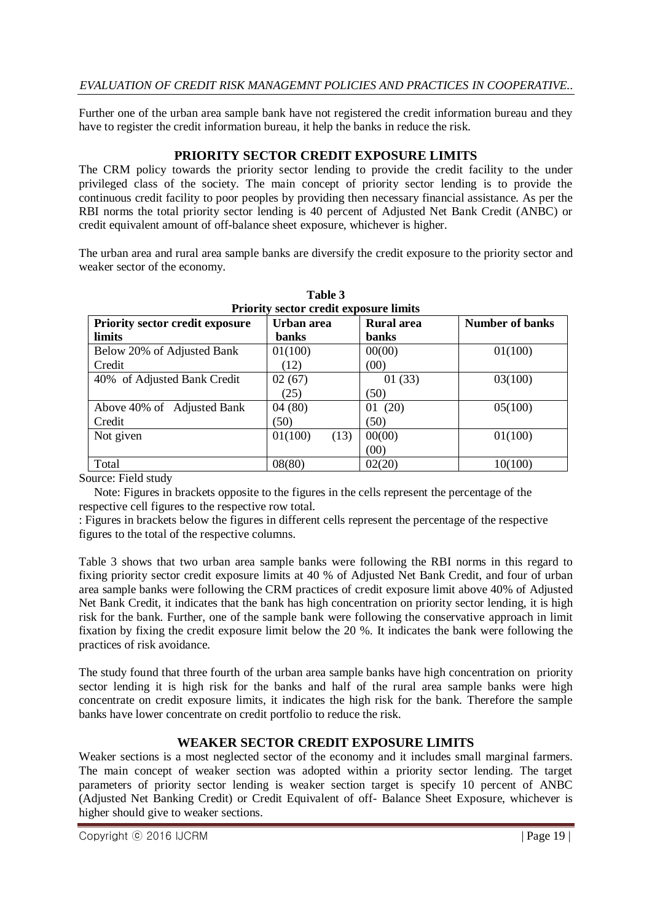#### *EVALUATION OF CREDIT RISK MANAGEMNT POLICIES AND PRACTICES IN COOPERATIVE..*

Further one of the urban area sample bank have not registered the credit information bureau and they have to register the credit information bureau, it help the banks in reduce the risk.

## **PRIORITY SECTOR CREDIT EXPOSURE LIMITS**

The CRM policy towards the priority sector lending to provide the credit facility to the under privileged class of the society. The main concept of priority sector lending is to provide the continuous credit facility to poor peoples by providing then necessary financial assistance. As per the RBI norms the total priority sector lending is 40 percent of Adjusted Net Bank Credit (ANBC) or credit equivalent amount of off-balance sheet exposure, whichever is higher.

The urban area and rural area sample banks are diversify the credit exposure to the priority sector and weaker sector of the economy.

| Friority sector create exposure minus  |                 |                   |                        |  |  |  |  |
|----------------------------------------|-----------------|-------------------|------------------------|--|--|--|--|
| <b>Priority sector credit exposure</b> | Urban area      | <b>Rural</b> area | <b>Number of banks</b> |  |  |  |  |
| limits                                 | <b>banks</b>    | <b>banks</b>      |                        |  |  |  |  |
| Below 20% of Adjusted Bank             | 01(100)         | 00(00)            | 01(100)                |  |  |  |  |
| Credit                                 | (12)            | (00)              |                        |  |  |  |  |
| 40% of Adjusted Bank Credit            | 02(67)          | 01(33)            | 03(100)                |  |  |  |  |
|                                        | (25)            | (50)              |                        |  |  |  |  |
| Above 40% of Adjusted Bank             | 04(80)          | 01(20)            | 05(100)                |  |  |  |  |
| Credit                                 | (50)            | (50)              |                        |  |  |  |  |
| Not given                              | 01(100)<br>(13) | 00(00)            | 01(100)                |  |  |  |  |
|                                        |                 | (00)              |                        |  |  |  |  |
| Total                                  | 08(80)          | 02(20)            | 10(100)                |  |  |  |  |

**Table 3 Priority sector credit exposure limits**

Source: Field study

 Note: Figures in brackets opposite to the figures in the cells represent the percentage of the respective cell figures to the respective row total.

: Figures in brackets below the figures in different cells represent the percentage of the respective figures to the total of the respective columns.

Table 3 shows that two urban area sample banks were following the RBI norms in this regard to fixing priority sector credit exposure limits at 40 % of Adjusted Net Bank Credit, and four of urban area sample banks were following the CRM practices of credit exposure limit above 40% of Adjusted Net Bank Credit, it indicates that the bank has high concentration on priority sector lending, it is high risk for the bank. Further, one of the sample bank were following the conservative approach in limit fixation by fixing the credit exposure limit below the 20 %. It indicates the bank were following the practices of risk avoidance.

The study found that three fourth of the urban area sample banks have high concentration on priority sector lending it is high risk for the banks and half of the rural area sample banks were high concentrate on credit exposure limits, it indicates the high risk for the bank. Therefore the sample banks have lower concentrate on credit portfolio to reduce the risk.

# **WEAKER SECTOR CREDIT EXPOSURE LIMITS**

Weaker sections is a most neglected sector of the economy and it includes small marginal farmers. The main concept of weaker section was adopted within a priority sector lending. The target parameters of priority sector lending is weaker section target is specify 10 percent of ANBC (Adjusted Net Banking Credit) or Credit Equivalent of off- Balance Sheet Exposure, whichever is higher should give to weaker sections.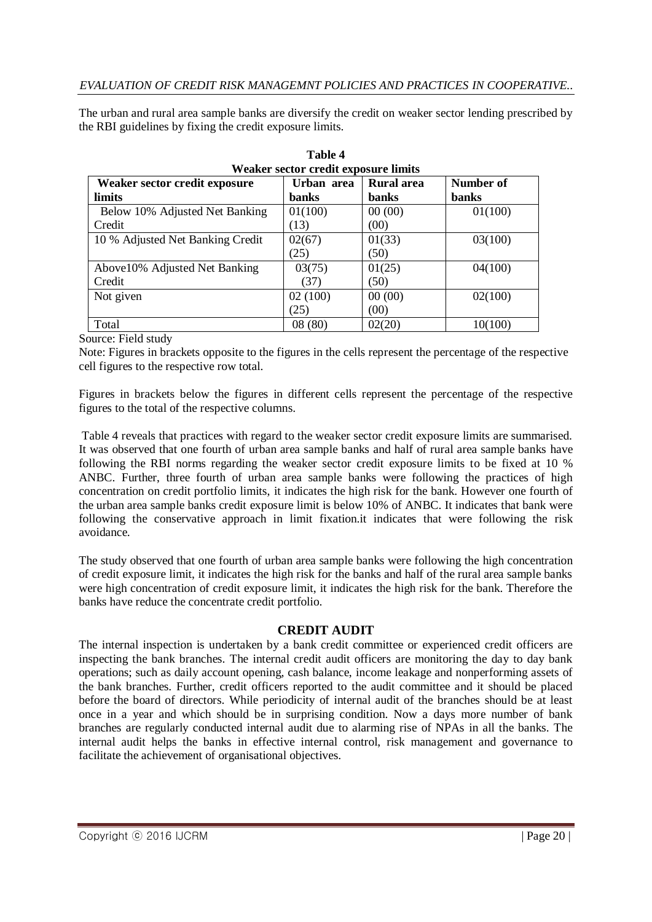The urban and rural area sample banks are diversify the credit on weaker sector lending prescribed by the RBI guidelines by fixing the credit exposure limits.

| Weaker sector credit exposure limits |              |            |              |  |  |  |
|--------------------------------------|--------------|------------|--------------|--|--|--|
| Weaker sector credit exposure        | Urban area   | Rural area | Number of    |  |  |  |
| limits                               | <b>banks</b> | banks      | <b>banks</b> |  |  |  |
| Below 10% Adjusted Net Banking       | 01(100)      | 00(00)     | 01(100)      |  |  |  |
| Credit                               | (13)         | (00)       |              |  |  |  |
| 10 % Adjusted Net Banking Credit     | 02(67)       | 01(33)     | 03(100)      |  |  |  |
|                                      | (25)         | (50)       |              |  |  |  |
| Above 10% Adjusted Net Banking       | 03(75)       | 01(25)     | 04(100)      |  |  |  |
| Credit                               | (37)         | (50)       |              |  |  |  |
| Not given                            | 02(100)      | 00(00)     | 02(100)      |  |  |  |
|                                      | (25)         | (00)       |              |  |  |  |
| Total                                | 08(80)       | 02(20)     | 10(100)      |  |  |  |

| Table 4 |                                        |  |  |  |  |  |
|---------|----------------------------------------|--|--|--|--|--|
|         | Weaker sector credit exposure limit    |  |  |  |  |  |
|         | $\mathbf{r}$ $\mathbf{r}$ $\mathbf{r}$ |  |  |  |  |  |

Source: Field study

Note: Figures in brackets opposite to the figures in the cells represent the percentage of the respective cell figures to the respective row total.

Figures in brackets below the figures in different cells represent the percentage of the respective figures to the total of the respective columns.

Table 4 reveals that practices with regard to the weaker sector credit exposure limits are summarised. It was observed that one fourth of urban area sample banks and half of rural area sample banks have following the RBI norms regarding the weaker sector credit exposure limits to be fixed at 10 % ANBC. Further, three fourth of urban area sample banks were following the practices of high concentration on credit portfolio limits, it indicates the high risk for the bank. However one fourth of the urban area sample banks credit exposure limit is below 10% of ANBC. It indicates that bank were following the conservative approach in limit fixation.it indicates that were following the risk avoidance.

The study observed that one fourth of urban area sample banks were following the high concentration of credit exposure limit, it indicates the high risk for the banks and half of the rural area sample banks were high concentration of credit exposure limit, it indicates the high risk for the bank. Therefore the banks have reduce the concentrate credit portfolio.

#### **CREDIT AUDIT**

The internal inspection is undertaken by a bank credit committee or experienced credit officers are inspecting the bank branches. The internal credit audit officers are monitoring the day to day bank operations; such as daily account opening, cash balance, income leakage and nonperforming assets of the bank branches. Further, credit officers reported to the audit committee and it should be placed before the board of directors. While periodicity of internal audit of the branches should be at least once in a year and which should be in surprising condition. Now a days more number of bank branches are regularly conducted internal audit due to alarming rise of NPAs in all the banks. The internal audit helps the banks in effective internal control, risk management and governance to facilitate the achievement of organisational objectives.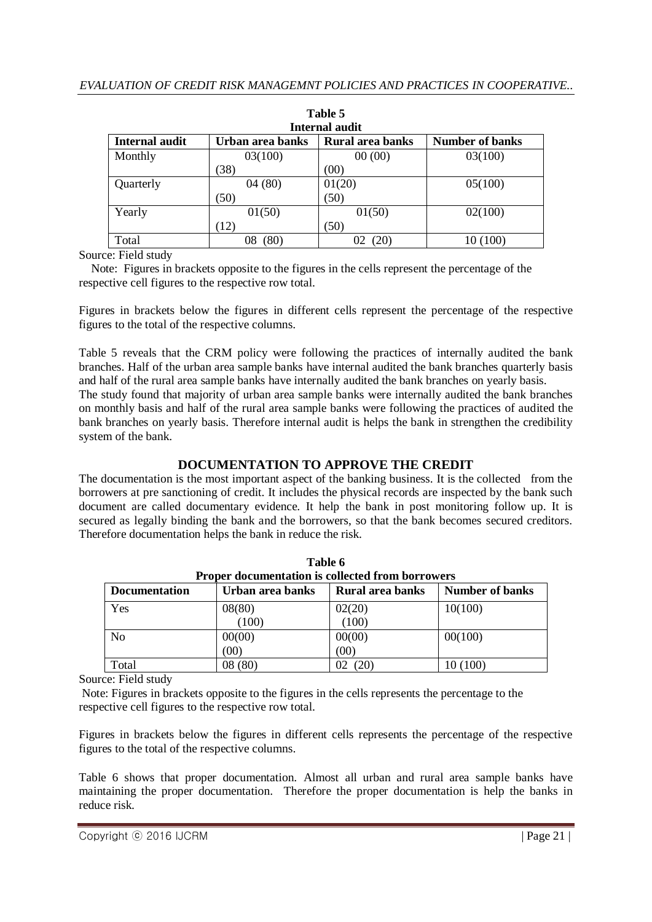| Table 5                                                                                 |            |        |          |  |  |  |  |  |  |
|-----------------------------------------------------------------------------------------|------------|--------|----------|--|--|--|--|--|--|
| Internal audit                                                                          |            |        |          |  |  |  |  |  |  |
| <b>Number of banks</b><br>Internal audit<br>Urban area banks<br><b>Rural area banks</b> |            |        |          |  |  |  |  |  |  |
| Monthly                                                                                 | 03(100)    | 00(00) | 03(100)  |  |  |  |  |  |  |
|                                                                                         | (38)       | (00)   |          |  |  |  |  |  |  |
| Quarterly                                                                               | 04(80)     | 01(20) | 05(100)  |  |  |  |  |  |  |
|                                                                                         | (50)       | (50)   |          |  |  |  |  |  |  |
| Yearly                                                                                  | 01(50)     | 01(50) | 02(100)  |  |  |  |  |  |  |
|                                                                                         | (12)       | (50)   |          |  |  |  |  |  |  |
| Total                                                                                   | (80)<br>08 | (20)   | 10 (100) |  |  |  |  |  |  |

Source: Field study

 Note: Figures in brackets opposite to the figures in the cells represent the percentage of the respective cell figures to the respective row total.

Figures in brackets below the figures in different cells represent the percentage of the respective figures to the total of the respective columns.

Table 5 reveals that the CRM policy were following the practices of internally audited the bank branches. Half of the urban area sample banks have internal audited the bank branches quarterly basis and half of the rural area sample banks have internally audited the bank branches on yearly basis. The study found that majority of urban area sample banks were internally audited the bank branches on monthly basis and half of the rural area sample banks were following the practices of audited the bank branches on yearly basis. Therefore internal audit is helps the bank in strengthen the credibility system of the bank.

# **DOCUMENTATION TO APPROVE THE CREDIT**

The documentation is the most important aspect of the banking business. It is the collected from the borrowers at pre sanctioning of credit. It includes the physical records are inspected by the bank such document are called documentary evidence. It help the bank in post monitoring follow up. It is secured as legally binding the bank and the borrowers, so that the bank becomes secured creditors. Therefore documentation helps the bank in reduce the risk.

**Table 6**

| і аніс у                                                |                  |                         |                        |  |  |  |
|---------------------------------------------------------|------------------|-------------------------|------------------------|--|--|--|
| <b>Proper documentation is collected from borrowers</b> |                  |                         |                        |  |  |  |
| <b>Documentation</b>                                    | Urban area banks | <b>Rural area banks</b> | <b>Number of banks</b> |  |  |  |
| Yes                                                     | 08(80)           | 02(20)                  | 10(100)                |  |  |  |
|                                                         | (100)            | (100)                   |                        |  |  |  |
| No                                                      | 00(00)           | 00(00)                  | 00(100)                |  |  |  |
|                                                         | (00)             | (00)                    |                        |  |  |  |
| Total                                                   | 08(80)           | (20)                    | 10 (100)               |  |  |  |

Source: Field study

Note: Figures in brackets opposite to the figures in the cells represents the percentage to the respective cell figures to the respective row total.

Figures in brackets below the figures in different cells represents the percentage of the respective figures to the total of the respective columns.

Table 6 shows that proper documentation. Almost all urban and rural area sample banks have maintaining the proper documentation. Therefore the proper documentation is help the banks in reduce risk.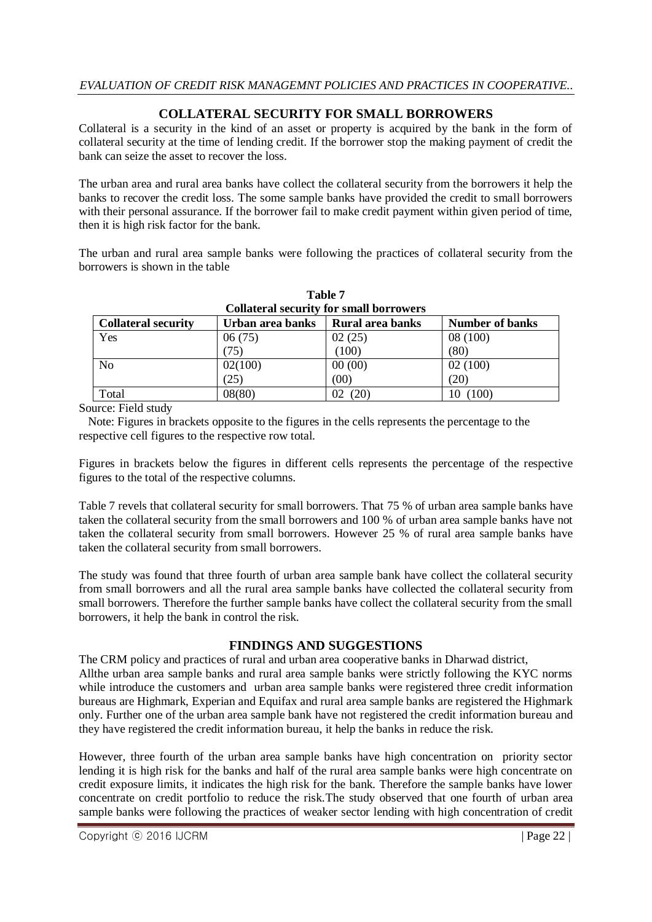# **COLLATERAL SECURITY FOR SMALL BORROWERS**

Collateral is a security in the kind of an asset or property is acquired by the bank in the form of collateral security at the time of lending credit. If the borrower stop the making payment of credit the bank can seize the asset to recover the loss.

The urban area and rural area banks have collect the collateral security from the borrowers it help the banks to recover the credit loss. The some sample banks have provided the credit to small borrowers with their personal assurance. If the borrower fail to make credit payment within given period of time, then it is high risk factor for the bank.

The urban and rural area sample banks were following the practices of collateral security from the borrowers is shown in the table

| <b>Collateral security for small borrowers</b> |                  |                  |                        |  |  |  |
|------------------------------------------------|------------------|------------------|------------------------|--|--|--|
| <b>Collateral security</b>                     | Urban area banks | Rural area banks | <b>Number of banks</b> |  |  |  |
| Yes                                            | 06(75)           | 02(25)           | 08(100)                |  |  |  |
|                                                | (75)             | (100)            | (80)                   |  |  |  |
| N <sub>0</sub>                                 | 02(100)          | 00(00)           | 02(100)                |  |  |  |
|                                                | (25)             | (00)             | (20)                   |  |  |  |
| Total                                          | 08(80)           | 02(20)           | 10 (100)               |  |  |  |

**Table 7**

Source: Field study

 Note: Figures in brackets opposite to the figures in the cells represents the percentage to the respective cell figures to the respective row total.

Figures in brackets below the figures in different cells represents the percentage of the respective figures to the total of the respective columns.

Table 7 revels that collateral security for small borrowers. That 75 % of urban area sample banks have taken the collateral security from the small borrowers and 100 % of urban area sample banks have not taken the collateral security from small borrowers. However 25 % of rural area sample banks have taken the collateral security from small borrowers.

The study was found that three fourth of urban area sample bank have collect the collateral security from small borrowers and all the rural area sample banks have collected the collateral security from small borrowers. Therefore the further sample banks have collect the collateral security from the small borrowers, it help the bank in control the risk.

# **FINDINGS AND SUGGESTIONS**

The CRM policy and practices of rural and urban area cooperative banks in Dharwad district, Allthe urban area sample banks and rural area sample banks were strictly following the KYC norms while introduce the customers and urban area sample banks were registered three credit information bureaus are Highmark, Experian and Equifax and rural area sample banks are registered the Highmark only. Further one of the urban area sample bank have not registered the credit information bureau and they have registered the credit information bureau, it help the banks in reduce the risk.

However, three fourth of the urban area sample banks have high concentration on priority sector lending it is high risk for the banks and half of the rural area sample banks were high concentrate on credit exposure limits, it indicates the high risk for the bank. Therefore the sample banks have lower concentrate on credit portfolio to reduce the risk.The study observed that one fourth of urban area sample banks were following the practices of weaker sector lending with high concentration of credit